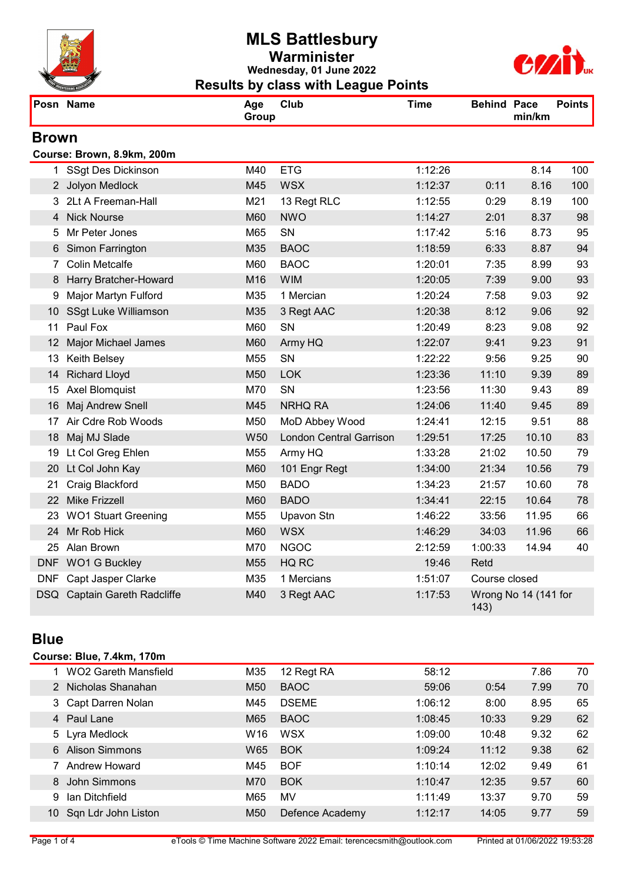

## MLS Battlesbury Warminister Wednesday, 01 June 2022 Results by class with League Points



|                 | Posn Name                    | Age<br>Group    | Club                           | <b>Time</b> | <b>Behind Pace</b> | min/km               | <b>Points</b> |
|-----------------|------------------------------|-----------------|--------------------------------|-------------|--------------------|----------------------|---------------|
| <b>Brown</b>    |                              |                 |                                |             |                    |                      |               |
|                 | Course: Brown, 8.9km, 200m   |                 |                                |             |                    |                      |               |
|                 | 1 SSgt Des Dickinson         | M40             | <b>ETG</b>                     | 1:12:26     |                    | 8.14                 | 100           |
|                 | 2 Jolyon Medlock             | M45             | <b>WSX</b>                     | 1:12:37     | 0:11               | 8.16                 | 100           |
|                 | 3 2Lt A Freeman-Hall         | M21             | 13 Regt RLC                    | 1:12:55     | 0:29               | 8.19                 | 100           |
|                 | 4 Nick Nourse                | M60             | <b>NWO</b>                     | 1:14:27     | 2:01               | 8.37                 | 98            |
| 5               | Mr Peter Jones               | M65             | SN                             | 1:17:42     | 5:16               | 8.73                 | 95            |
| 6               | Simon Farrington             | M35             | <b>BAOC</b>                    | 1:18:59     | 6:33               | 8.87                 | 94            |
| $7^{\circ}$     | <b>Colin Metcalfe</b>        | M60             | <b>BAOC</b>                    | 1:20:01     | 7:35               | 8.99                 | 93            |
|                 | 8 Harry Bratcher-Howard      | M16             | <b>WIM</b>                     | 1:20:05     | 7:39               | 9.00                 | 93            |
| 9               | Major Martyn Fulford         | M35             | 1 Mercian                      | 1:20:24     | 7:58               | 9.03                 | 92            |
| 10              | SSgt Luke Williamson         | M35             | 3 Regt AAC                     | 1:20:38     | 8:12               | 9.06                 | 92            |
| 11              | Paul Fox                     | M60             | SN                             | 1:20:49     | 8:23               | 9.08                 | 92            |
| 12 <sup>°</sup> | Major Michael James          | M60             | Army HQ                        | 1:22:07     | 9:41               | 9.23                 | 91            |
| 13              | Keith Belsey                 | M55             | SN                             | 1:22:22     | 9:56               | 9.25                 | 90            |
| 14              | <b>Richard Lloyd</b>         | M50             | <b>LOK</b>                     | 1:23:36     | 11:10              | 9.39                 | 89            |
| 15              | Axel Blomquist               | M70             | SN                             | 1:23:56     | 11:30              | 9.43                 | 89            |
| 16              | Maj Andrew Snell             | M45             | <b>NRHQ RA</b>                 | 1:24:06     | 11:40              | 9.45                 | 89            |
| 17              | Air Cdre Rob Woods           | M50             | MoD Abbey Wood                 | 1:24:41     | 12:15              | 9.51                 | 88            |
| 18              | Maj MJ Slade                 | W <sub>50</sub> | <b>London Central Garrison</b> | 1:29:51     | 17:25              | 10.10                | 83            |
| 19              | Lt Col Greg Ehlen            | M55             | Army HQ                        | 1:33:28     | 21:02              | 10.50                | 79            |
| 20              | Lt Col John Kay              | M60             | 101 Engr Regt                  | 1:34:00     | 21:34              | 10.56                | 79            |
| 21              | Craig Blackford              | M50             | <b>BADO</b>                    | 1:34:23     | 21:57              | 10.60                | 78            |
|                 | 22 Mike Frizzell             | M60             | <b>BADO</b>                    | 1:34:41     | 22:15              | 10.64                | 78            |
|                 | 23 WO1 Stuart Greening       | M55             | Upavon Stn                     | 1:46:22     | 33:56              | 11.95                | 66            |
| 24              | Mr Rob Hick                  | M60             | <b>WSX</b>                     | 1:46:29     | 34:03              | 11.96                | 66            |
| 25              | Alan Brown                   | M70             | <b>NGOC</b>                    | 2:12:59     | 1:00:33            | 14.94                | 40            |
|                 | DNF WO1 G Buckley            | M55             | HQ RC                          | 19:46       | Retd               |                      |               |
|                 | DNF Capt Jasper Clarke       | M35             | 1 Mercians                     | 1:51:07     | Course closed      |                      |               |
|                 | DSQ Captain Gareth Radcliffe | M40             | 3 Regt AAC                     | 1:17:53     | 143)               | Wrong No 14 (141 for |               |

#### **Blue**

#### Course: Blue, 7.4km, 170m

|    | <b>WO2 Gareth Mansfield</b> | M35             | 12 Regt RA      | 58:12   |       | 7.86 | 70 |
|----|-----------------------------|-----------------|-----------------|---------|-------|------|----|
|    | Nicholas Shanahan           | M <sub>50</sub> | <b>BAOC</b>     | 59:06   | 0:54  | 7.99 | 70 |
|    | 3 Capt Darren Nolan         | M45             | <b>DSEME</b>    | 1:06:12 | 8:00  | 8.95 | 65 |
| 4  | Paul Lane                   | M65             | <b>BAOC</b>     | 1:08:45 | 10:33 | 9.29 | 62 |
|    | 5 Lyra Medlock              | W <sub>16</sub> | <b>WSX</b>      | 1:09:00 | 10:48 | 9.32 | 62 |
| 6  | <b>Alison Simmons</b>       | W65             | <b>BOK</b>      | 1:09:24 | 11:12 | 9.38 | 62 |
|    | <b>Andrew Howard</b>        | M45             | <b>BOF</b>      | 1:10:14 | 12:02 | 9.49 | 61 |
| 8  | John Simmons                | M70             | <b>BOK</b>      | 1:10:47 | 12:35 | 9.57 | 60 |
| 9  | Ian Ditchfield              | M65             | MV              | 1:11:49 | 13:37 | 9.70 | 59 |
| 10 | Sqn Ldr John Liston         | M <sub>50</sub> | Defence Academy | 1:12:17 | 14:05 | 9.77 | 59 |
|    |                             |                 |                 |         |       |      |    |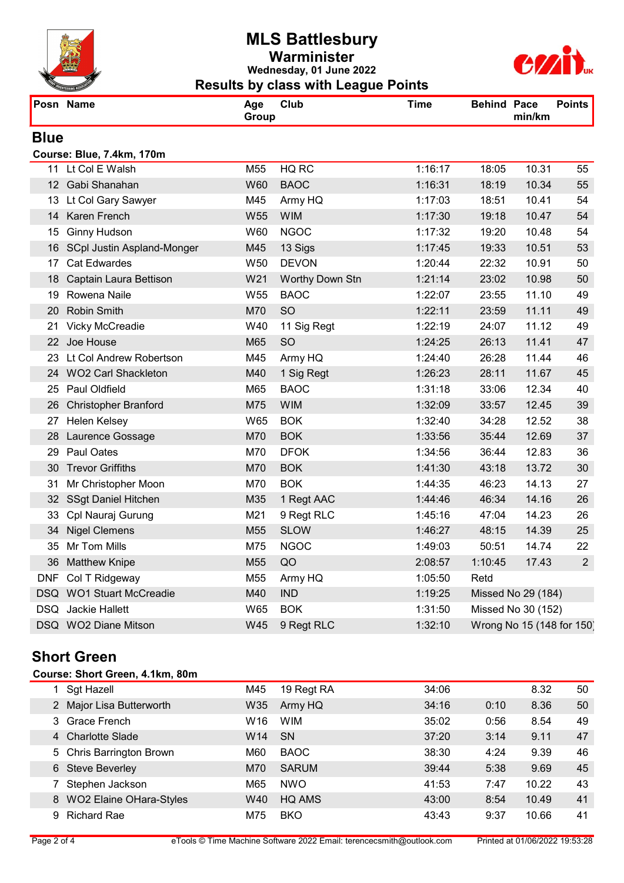

## MLS Battlesbury Warminister Wednesday, 01 June 2022 Results by class with League Points



|             | Posn Name                   | Age<br>Group    | Club            | <b>Time</b> | <b>Behind Pace</b> | min/km                    | <b>Points</b>  |
|-------------|-----------------------------|-----------------|-----------------|-------------|--------------------|---------------------------|----------------|
| <b>Blue</b> |                             |                 |                 |             |                    |                           |                |
|             | Course: Blue, 7.4km, 170m   |                 |                 |             |                    |                           |                |
|             | 11 Lt Col E Walsh           | M55             | HQ RC           | 1:16:17     | 18:05              | 10.31                     | 55             |
|             | 12 Gabi Shanahan            | W60             | <b>BAOC</b>     | 1:16:31     | 18:19              | 10.34                     | 55             |
| 13          | Lt Col Gary Sawyer          | M45             | Army HQ         | 1:17:03     | 18:51              | 10.41                     | 54             |
|             | 14 Karen French             | W <sub>55</sub> | <b>WIM</b>      | 1:17:30     | 19:18              | 10.47                     | 54             |
|             | 15 Ginny Hudson             | W60             | <b>NGOC</b>     | 1:17:32     | 19:20              | 10.48                     | 54             |
| 16          | SCpl Justin Aspland-Monger  | M45             | 13 Sigs         | 1:17:45     | 19:33              | 10.51                     | 53             |
| 17          | <b>Cat Edwardes</b>         | W <sub>50</sub> | <b>DEVON</b>    | 1:20:44     | 22:32              | 10.91                     | 50             |
|             | 18 Captain Laura Bettison   | W21             | Worthy Down Stn | 1:21:14     | 23:02              | 10.98                     | 50             |
|             | 19 Rowena Naile             | W <sub>55</sub> | <b>BAOC</b>     | 1:22:07     | 23:55              | 11.10                     | 49             |
|             | 20 Robin Smith              | M70             | SO              | 1:22:11     | 23:59              | 11.11                     | 49             |
| 21          | Vicky McCreadie             | W40             | 11 Sig Regt     | 1:22:19     | 24:07              | 11.12                     | 49             |
|             | 22 Joe House                | M65             | SO              | 1:24:25     | 26:13              | 11.41                     | 47             |
|             | 23 Lt Col Andrew Robertson  | M45             | Army HQ         | 1:24:40     | 26:28              | 11.44                     | 46             |
|             | 24 WO2 Carl Shackleton      | M40             | 1 Sig Regt      | 1:26:23     | 28:11              | 11.67                     | 45             |
|             | 25 Paul Oldfield            | M65             | <b>BAOC</b>     | 1:31:18     | 33:06              | 12.34                     | 40             |
| 26          | <b>Christopher Branford</b> | M75             | <b>WIM</b>      | 1:32:09     | 33:57              | 12.45                     | 39             |
|             | 27 Helen Kelsey             | W65             | <b>BOK</b>      | 1:32:40     | 34:28              | 12.52                     | 38             |
| 28          | Laurence Gossage            | M70             | <b>BOK</b>      | 1:33:56     | 35:44              | 12.69                     | 37             |
| 29.         | Paul Oates                  | M70             | <b>DFOK</b>     | 1:34:56     | 36:44              | 12.83                     | 36             |
|             | 30 Trevor Griffiths         | M70             | <b>BOK</b>      | 1:41:30     | 43:18              | 13.72                     | 30             |
| 31          | Mr Christopher Moon         | M70             | <b>BOK</b>      | 1:44:35     | 46:23              | 14.13                     | 27             |
|             | 32 SSgt Daniel Hitchen      | M35             | 1 Regt AAC      | 1:44:46     | 46:34              | 14.16                     | 26             |
| 33          | Cpl Nauraj Gurung           | M21             | 9 Regt RLC      | 1:45:16     | 47:04              | 14.23                     | 26             |
| 34          | <b>Nigel Clemens</b>        | M55             | <b>SLOW</b>     | 1:46:27     | 48:15              | 14.39                     | 25             |
|             | 35 Mr Tom Mills             | M75             | <b>NGOC</b>     | 1:49:03     | 50:51              | 14.74                     | 22             |
|             | 36 Matthew Knipe            | M55             | QO              | 2:08:57     | 1:10:45            | 17.43                     | $\overline{2}$ |
|             | DNF Col T Ridgeway          | M55             | Army HQ         | 1:05:50     | Retd               |                           |                |
|             | DSQ WO1 Stuart McCreadie    | M40             | <b>IND</b>      | 1:19:25     |                    | Missed No 29 (184)        |                |
|             | DSQ Jackie Hallett          | W65             | <b>BOK</b>      | 1:31:50     |                    | Missed No 30 (152)        |                |
|             | DSQ WO2 Diane Mitson        | W45             | 9 Regt RLC      | 1:32:10     |                    | Wrong No 15 (148 for 150) |                |

# Short Green

#### Course: Short Green, 4.1km, 80m

|   | 1 Sgt Hazell                   | M45             | 19 Regt RA   | 34:06 |      | 8.32  | 50 |
|---|--------------------------------|-----------------|--------------|-------|------|-------|----|
|   | 2 Major Lisa Butterworth       | W35             | Army HQ      | 34:16 | 0:10 | 8.36  | 50 |
|   | 3 Grace French                 | W <sub>16</sub> | <b>WIM</b>   | 35:02 | 0:56 | 8.54  | 49 |
|   | 4 Charlotte Slade              | W14             | <b>SN</b>    | 37:20 | 3:14 | 9.11  | 47 |
|   | 5 Chris Barrington Brown       | M60             | <b>BAOC</b>  | 38:30 | 4:24 | 9.39  | 46 |
|   | 6 Steve Beverley               | M70             | <b>SARUM</b> | 39:44 | 5:38 | 9.69  | 45 |
|   | Stephen Jackson                | M65             | <b>NWO</b>   | 41:53 | 7:47 | 10.22 | 43 |
| 8 | <b>WO2 Elaine OHara-Styles</b> | W40             | HQ AMS       | 43:00 | 8:54 | 10.49 | 41 |
| 9 | <b>Richard Rae</b>             | M75             | <b>BKO</b>   | 43:43 | 9:37 | 10.66 | 41 |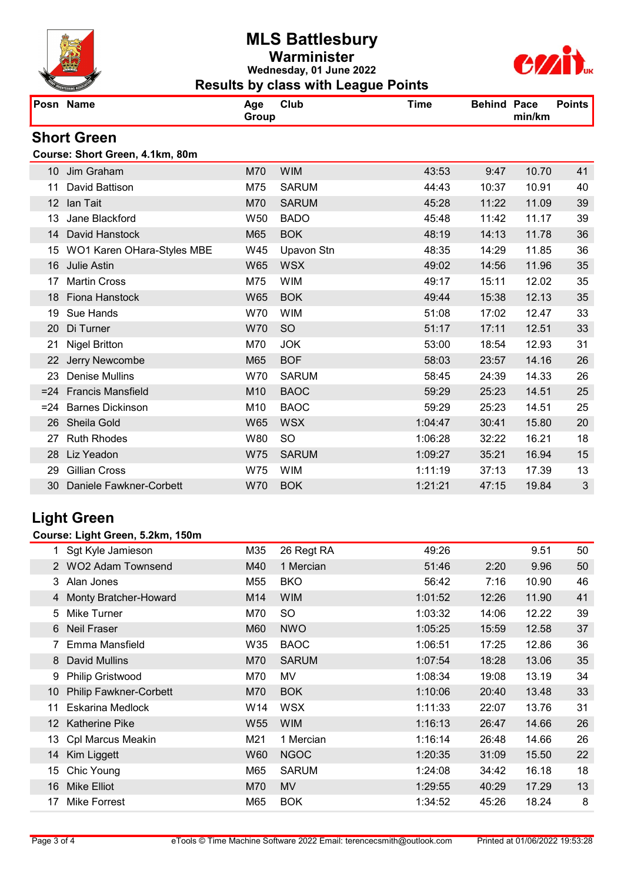

## MLS Battlesbury Warminister Wednesday, 01 June 2022 Results by class with League Points



|                   | Posn Name                       | Age<br>Group    | Club              | <b>Time</b> | <b>Behind Pace</b> | min/km | <b>Points</b> |
|-------------------|---------------------------------|-----------------|-------------------|-------------|--------------------|--------|---------------|
|                   | <b>Short Green</b>              |                 |                   |             |                    |        |               |
|                   | Course: Short Green, 4.1km, 80m |                 |                   |             |                    |        |               |
|                   | 10 Jim Graham                   | M70             | <b>WIM</b>        | 43:53       | 9:47               | 10.70  | 41            |
| 11                | David Battison                  | M75             | <b>SARUM</b>      | 44:43       | 10:37              | 10.91  | 40            |
| $12 \overline{ }$ | Ian Tait                        | M70             | <b>SARUM</b>      | 45:28       | 11:22              | 11.09  | 39            |
| 13                | Jane Blackford                  | W <sub>50</sub> | <b>BADO</b>       | 45:48       | 11:42              | 11.17  | 39            |
| 14                | David Hanstock                  | M65             | <b>BOK</b>        | 48:19       | 14:13              | 11.78  | 36            |
| 15                | WO1 Karen OHara-Styles MBE      | W45             | <b>Upavon Stn</b> | 48:35       | 14:29              | 11.85  | 36            |
| 16                | <b>Julie Astin</b>              | W65             | <b>WSX</b>        | 49:02       | 14:56              | 11.96  | 35            |
| 17                | <b>Martin Cross</b>             | M75             | <b>WIM</b>        | 49:17       | 15:11              | 12.02  | 35            |
| 18                | Fiona Hanstock                  | <b>W65</b>      | <b>BOK</b>        | 49:44       | 15:38              | 12.13  | 35            |
| 19                | Sue Hands                       | W70             | <b>WIM</b>        | 51:08       | 17:02              | 12.47  | 33            |
| 20                | Di Turner                       | <b>W70</b>      | <b>SO</b>         | 51:17       | 17:11              | 12.51  | 33            |
| 21                | <b>Nigel Britton</b>            | M70             | <b>JOK</b>        | 53:00       | 18:54              | 12.93  | 31            |
| 22                | Jerry Newcombe                  | M65             | <b>BOF</b>        | 58:03       | 23:57              | 14.16  | 26            |
| 23                | <b>Denise Mullins</b>           | W70             | <b>SARUM</b>      | 58:45       | 24:39              | 14.33  | 26            |
|                   | =24 Francis Mansfield           | M <sub>10</sub> | <b>BAOC</b>       | 59:29       | 25:23              | 14.51  | 25            |
| $= 24$            | <b>Barnes Dickinson</b>         | M <sub>10</sub> | <b>BAOC</b>       | 59:29       | 25:23              | 14.51  | 25            |
| 26                | Sheila Gold                     | <b>W65</b>      | <b>WSX</b>        | 1:04:47     | 30:41              | 15.80  | 20            |
| 27                | <b>Ruth Rhodes</b>              | W80             | <b>SO</b>         | 1:06:28     | 32:22              | 16.21  | 18            |
| 28                | Liz Yeadon                      | W75             | <b>SARUM</b>      | 1:09:27     | 35:21              | 16.94  | 15            |
| 29                | <b>Gillian Cross</b>            | W75             | <b>WIM</b>        | 1:11:19     | 37:13              | 17.39  | 13            |
| 30                | Daniele Fawkner-Corbett         | W70             | <b>BOK</b>        | 1:21:21     | 47:15              | 19.84  | 3             |

# Light Green

#### Course: Light Green, 5.2km, 150m

|                 | Sgt Kyle Jamieson             | M35             | 26 Regt RA   | 49:26   |       | 9.51  | 50 |
|-----------------|-------------------------------|-----------------|--------------|---------|-------|-------|----|
|                 | <b>WO2 Adam Townsend</b>      | M40             | 1 Mercian    | 51:46   | 2:20  | 9.96  | 50 |
|                 | Alan Jones<br>3               | M55             | <b>BKO</b>   | 56:42   | 7:16  | 10.90 | 46 |
|                 | Monty Bratcher-Howard<br>4    | M14             | <b>WIM</b>   | 1:01:52 | 12:26 | 11.90 | 41 |
|                 | Mike Turner<br>5              | M70             | SO           | 1:03:32 | 14:06 | 12.22 | 39 |
| 6               | <b>Neil Fraser</b>            | M60             | <b>NWO</b>   | 1:05:25 | 15:59 | 12.58 | 37 |
|                 | Emma Mansfield                | W35             | <b>BAOC</b>  | 1:06:51 | 17:25 | 12.86 | 36 |
|                 | <b>David Mullins</b><br>8     | M70             | <b>SARUM</b> | 1:07:54 | 18:28 | 13.06 | 35 |
| 9               | Philip Gristwood              | M70             | MV           | 1:08:34 | 19:08 | 13.19 | 34 |
| 10              | <b>Philip Fawkner-Corbett</b> | M70             | <b>BOK</b>   | 1:10:06 | 20:40 | 13.48 | 33 |
| 11              | <b>Eskarina Medlock</b>       | W14             | <b>WSX</b>   | 1:11:33 | 22:07 | 13.76 | 31 |
| 12 <sup>°</sup> | <b>Katherine Pike</b>         | W <sub>55</sub> | <b>WIM</b>   | 1:16:13 | 26:47 | 14.66 | 26 |
| 13              | Cpl Marcus Meakin             | M21             | 1 Mercian    | 1:16:14 | 26:48 | 14.66 | 26 |
| 14              | Kim Liggett                   | W60             | <b>NGOC</b>  | 1:20:35 | 31:09 | 15.50 | 22 |
| 15              | Chic Young                    | M65             | <b>SARUM</b> | 1:24:08 | 34:42 | 16.18 | 18 |
| 16              | <b>Mike Elliot</b>            | M70             | <b>MV</b>    | 1:29:55 | 40:29 | 17.29 | 13 |
| 17              | Mike Forrest                  | M65             | <b>BOK</b>   | 1:34:52 | 45:26 | 18.24 | 8  |
|                 |                               |                 |              |         |       |       |    |